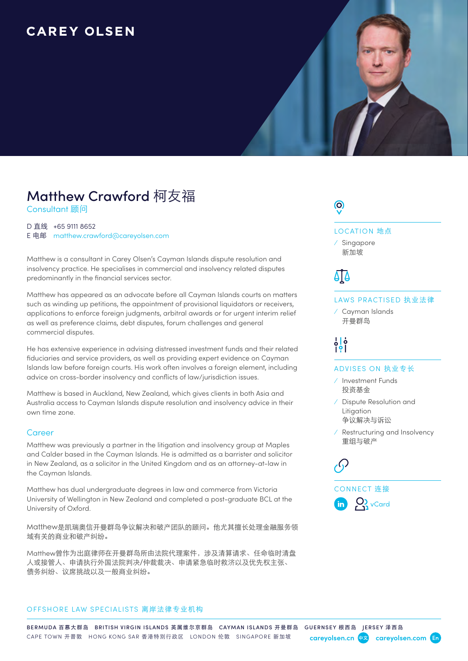### **CAREY OLSEN**



# **Matthew Crawford** 柯友福

Consultant 顾问

#### D 直线 +65 9111 8652

E 电邮 [matthew.crawford@careyolsen.com](mailto:matthew.crawford%40careyolsen.com?subject=)

Matthew is a consultant in Carey Olsen's Cayman Islands dispute resolution and insolvency practice. He specialises in commercial and insolvency related disputes predominantly in the financial services sector.

Matthew has appeared as an advocate before all Cayman Islands courts on matters such as winding up petitions, the appointment of provisional liquidators or receivers, applications to enforce foreign judgments, arbitral awards or for urgent interim relief as well as preference claims, debt disputes, forum challenges and general commercial disputes.

He has extensive experience in advising distressed investment funds and their related fiduciaries and service providers, as well as providing expert evidence on Cayman Islands law before foreign courts. His work often involves a foreign element, including advice on cross-border insolvency and conflicts of law/jurisdiction issues.

Matthew is based in Auckland, New Zealand, which gives clients in both Asia and Australia access to Cayman Islands dispute resolution and insolvency advice in their own time zone.

#### **Career**

Matthew was previously a partner in the litigation and insolvency group at Maples and Calder based in the Cayman Islands. He is admitted as a barrister and solicitor in New Zealand, as a solicitor in the United Kingdom and as an attorney-at-law in the Cayman Islands.

Matthew has dual undergraduate degrees in law and commerce from Victoria University of Wellington in New Zealand and completed a post-graduate BCL at the University of Oxford.

Matthew是凯瑞奥信开曼群岛争议解决和破产团队的顾问。他尤其擅长处理金融服务领 域有关的商业和破产纠纷。

Matthew曾作为出庭律师在开曼群岛所由法院代理案件,涉及清算请求、任命临时清盘 人或接管人、申请执行外国法院判决/仲裁裁决、申请紧急临时救济以及优先权主张、 债务纠纷、议席挑战以及一般商业纠纷。

#### OFFSHORE LAW SPECIALISTS 离岸法律专业机构

### $\odot$

LOCATION 地点

⁄ Singapore 新加坡

## ΔIΔ

#### LAWS PRACTISED 执业法律

⁄ Cayman Islands 开曼群岛

 $\frac{1}{2}$  $\frac{1}{2}$ 

#### ADVISES ON 执业专长

- ⁄ Investment Funds 投资基金
- ⁄ Dispute Resolution and Litigation 争议解决与诉讼
- ⁄ Restructuring and Insolvency 重组与破产

 $\sqrt{ }$